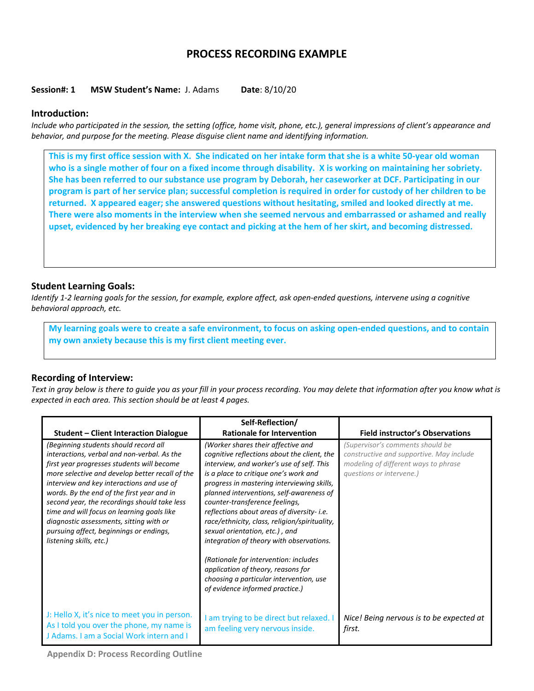# **PROCESS RECORDING EXAMPLE**

### **Session#: 1 MSW Student's Name:** J. Adams **Date**: 8/10/20

### **Introduction:**

*Include who participated in the session, the setting (office, home visit, phone, etc.), general impressions of client's appearance and behavior, and purpose for the meeting. Please disguise client name and identifying information.*

**This is my first office session with X. She indicated on her intake form that she is a white 50-year old woman who is a single mother of four on a fixed income through disability. X is working on maintaining her sobriety. She has been referred to our substance use program by Deborah, her caseworker at DCF. Participating in our program is part of her service plan; successful completion is required in order for custody of her children to be returned. X appeared eager; she answered questions without hesitating, smiled and looked directly at me. There were also moments in the interview when she seemed nervous and embarrassed or ashamed and really upset, evidenced by her breaking eye contact and picking at the hem of her skirt, and becoming distressed.** 

## **Student Learning Goals:**

*Identify 1-2 learning goals for the session, for example, explore affect, ask open-ended questions, intervene using a cognitive behavioral approach, etc.* 

**My learning goals were to create a safe environment, to focus on asking open-ended questions, and to contain my own anxiety because this is my first client meeting ever.**

## **Recording of Interview:**

*Text in gray below is there to guide you as your fill in your process recording. You may delete that information after you know what is expected in each area. This section should be at least 4 pages.* 

|                                                                                                                                                                                                                                                                                                                                                                                                                                                                                                 | Self-Reflection/                                                                                                                                                                                                                                                                                                                                                                                                                                                                                                                                                                                           |                                                                                                                                                  |
|-------------------------------------------------------------------------------------------------------------------------------------------------------------------------------------------------------------------------------------------------------------------------------------------------------------------------------------------------------------------------------------------------------------------------------------------------------------------------------------------------|------------------------------------------------------------------------------------------------------------------------------------------------------------------------------------------------------------------------------------------------------------------------------------------------------------------------------------------------------------------------------------------------------------------------------------------------------------------------------------------------------------------------------------------------------------------------------------------------------------|--------------------------------------------------------------------------------------------------------------------------------------------------|
| <b>Student - Client Interaction Dialogue</b>                                                                                                                                                                                                                                                                                                                                                                                                                                                    | <b>Rationale for Intervention</b>                                                                                                                                                                                                                                                                                                                                                                                                                                                                                                                                                                          | <b>Field instructor's Observations</b>                                                                                                           |
| (Beginning students should record all<br>interactions, verbal and non-verbal. As the<br>first year progresses students will become<br>more selective and develop better recall of the<br>interview and key interactions and use of<br>words. By the end of the first year and in<br>second year, the recordings should take less<br>time and will focus on learning goals like<br>diagnostic assessments, sitting with or<br>pursuing affect, beginnings or endings,<br>listening skills, etc.) | (Worker shares their affective and<br>cognitive reflections about the client, the<br>interview, and worker's use of self. This<br>is a place to critique one's work and<br>progress in mastering interviewing skills,<br>planned interventions, self-awareness of<br>counter-transference feelings,<br>reflections about areas of diversity- i.e.<br>race/ethnicity, class, religion/spirituality,<br>sexual orientation, etc.), and<br>integration of theory with observations.<br>(Rationale for intervention: includes<br>application of theory, reasons for<br>choosing a particular intervention, use | (Supervisor's comments should be<br>constructive and supportive. May include<br>modeling of different ways to phrase<br>questions or intervene.) |
| J: Hello X, it's nice to meet you in person.<br>As I told you over the phone, my name is<br>J Adams. I am a Social Work intern and I                                                                                                                                                                                                                                                                                                                                                            | of evidence informed practice.)<br>am trying to be direct but relaxed. I<br>am feeling very nervous inside.                                                                                                                                                                                                                                                                                                                                                                                                                                                                                                | Nice! Being nervous is to be expected at<br>first.                                                                                               |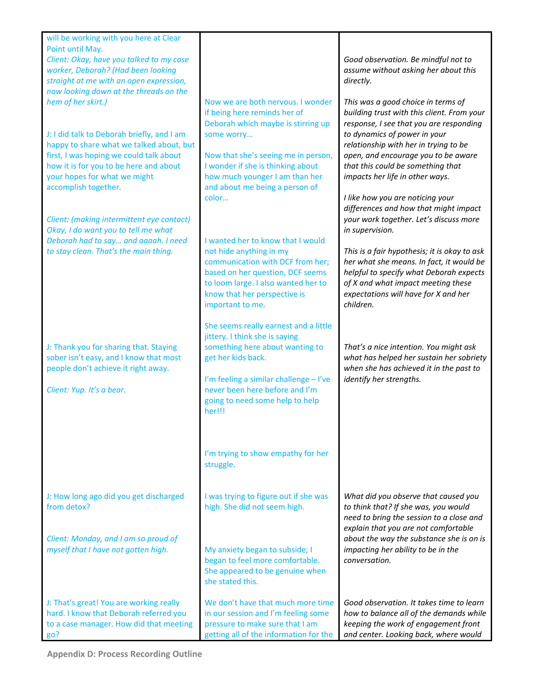| will be working with you here at Clear                                                                                                                                                                                              |                                                                                                                                                                                                                                                           |                                                                                                                                                                                                                                                                                                                   |
|-------------------------------------------------------------------------------------------------------------------------------------------------------------------------------------------------------------------------------------|-----------------------------------------------------------------------------------------------------------------------------------------------------------------------------------------------------------------------------------------------------------|-------------------------------------------------------------------------------------------------------------------------------------------------------------------------------------------------------------------------------------------------------------------------------------------------------------------|
| Point until May.<br>Client: Okay, have you talked to my case                                                                                                                                                                        |                                                                                                                                                                                                                                                           | Good observation. Be mindful not to                                                                                                                                                                                                                                                                               |
| worker, Deborah? (Had been looking                                                                                                                                                                                                  |                                                                                                                                                                                                                                                           | assume without asking her about this                                                                                                                                                                                                                                                                              |
| straight at me with an open expression,<br>now looking down at the threads on the                                                                                                                                                   |                                                                                                                                                                                                                                                           | directly.                                                                                                                                                                                                                                                                                                         |
| hem of her skirt.)                                                                                                                                                                                                                  | Now we are both nervous. I wonder                                                                                                                                                                                                                         | This was a good choice in terms of                                                                                                                                                                                                                                                                                |
| J: I did talk to Deborah briefly, and I am<br>happy to share what we talked about, but<br>first, I was hoping we could talk about<br>how it is for you to be here and about<br>your hopes for what we might<br>accomplish together. | if being here reminds her of<br>Deborah which maybe is stirring up<br>some worry<br>Now that she's seeing me in person,<br>I wonder if she is thinking about<br>how much younger I am than her<br>and about me being a person of<br>color                 | building trust with this client. From your<br>response, I see that you are responding<br>to dynamics of power in your<br>relationship with her in trying to be<br>open, and encourage you to be aware<br>that this could be something that<br>impacts her life in other ways.<br>I like how you are noticing your |
| Client: (making intermittent eye contact)<br>Okay, I do want you to tell me what<br>Deborah had to say and aaaah. I need                                                                                                            | I wanted her to know that I would                                                                                                                                                                                                                         | differences and how that might impact<br>your work together. Let's discuss more<br>in supervision.                                                                                                                                                                                                                |
| to stay clean. That's the main thing.                                                                                                                                                                                               | not hide anything in my<br>communication with DCF from her;<br>based on her question, DCF seems<br>to loom large. I also wanted her to<br>know that her perspective is<br>important to me.                                                                | This is a fair hypothesis; it is okay to ask<br>her what she means. In fact, it would be<br>helpful to specify what Deborah expects<br>of X and what impact meeting these<br>expectations will have for X and her<br>children.                                                                                    |
| J: Thank you for sharing that. Staying<br>sober isn't easy, and I know that most<br>people don't achieve it right away.<br>Client: Yup. It's a bear.                                                                                | She seems really earnest and a little<br>jittery. I think she is saying<br>something here about wanting to<br>get her kids back.<br>I'm feeling a similar challenge - I've<br>never been here before and I'm<br>going to need some help to help<br>her!!! | That's a nice intention. You might ask<br>what has helped her sustain her sobriety<br>when she has achieved it in the past to<br>identify her strengths.                                                                                                                                                          |
|                                                                                                                                                                                                                                     | I'm trying to show empathy for her<br>struggle.                                                                                                                                                                                                           |                                                                                                                                                                                                                                                                                                                   |
| J: How long ago did you get discharged<br>from detox?                                                                                                                                                                               | I was trying to figure out if she was<br>high. She did not seem high.                                                                                                                                                                                     | What did you observe that caused you<br>to think that? If she was, you would<br>need to bring the session to a close and<br>explain that you are not comfortable                                                                                                                                                  |
| Client: Monday, and I am so proud of<br>myself that I have not gotten high.                                                                                                                                                         | My anxiety began to subside; I<br>began to feel more comfortable.<br>She appeared to be genuine when<br>she stated this.                                                                                                                                  | about the way the substance she is on is<br>impacting her ability to be in the<br>conversation.                                                                                                                                                                                                                   |
| J: That's great! You are working really<br>hard. I know that Deborah referred you<br>to a case manager. How did that meeting<br>go?                                                                                                 | We don't have that much more time<br>in our session and I'm feeling some<br>pressure to make sure that I am<br>getting all of the information for the                                                                                                     | Good observation. It takes time to learn<br>how to balance all of the demands while<br>keeping the work of engagement front<br>and center. Looking back, where would                                                                                                                                              |

**Appendix D: Process Recording Outline**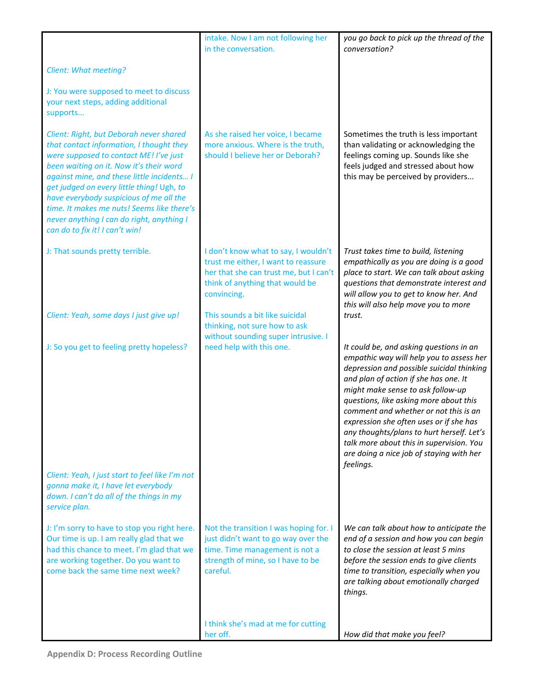|                                                                                                                                                                                                                                                                                                                                                                                                                                             | intake. Now I am not following her<br>in the conversation.                                                                                                              | you go back to pick up the thread of the<br>conversation?                                                                                                                                                                                                                                                                                                                                                                                                                                      |
|---------------------------------------------------------------------------------------------------------------------------------------------------------------------------------------------------------------------------------------------------------------------------------------------------------------------------------------------------------------------------------------------------------------------------------------------|-------------------------------------------------------------------------------------------------------------------------------------------------------------------------|------------------------------------------------------------------------------------------------------------------------------------------------------------------------------------------------------------------------------------------------------------------------------------------------------------------------------------------------------------------------------------------------------------------------------------------------------------------------------------------------|
| <b>Client: What meeting?</b>                                                                                                                                                                                                                                                                                                                                                                                                                |                                                                                                                                                                         |                                                                                                                                                                                                                                                                                                                                                                                                                                                                                                |
| J: You were supposed to meet to discuss<br>your next steps, adding additional<br>supports                                                                                                                                                                                                                                                                                                                                                   |                                                                                                                                                                         |                                                                                                                                                                                                                                                                                                                                                                                                                                                                                                |
| Client: Right, but Deborah never shared<br>that contact information, I thought they<br>were supposed to contact ME! I've just<br>been waiting on it. Now it's their word<br>against mine, and these little incidents I<br>get judged on every little thing! Ugh, to<br>have everybody suspicious of me all the<br>time. It makes me nuts! Seems like there's<br>never anything I can do right, anything I<br>can do to fix it! I can't win! | As she raised her voice, I became<br>more anxious. Where is the truth,<br>should I believe her or Deborah?                                                              | Sometimes the truth is less important<br>than validating or acknowledging the<br>feelings coming up. Sounds like she<br>feels judged and stressed about how<br>this may be perceived by providers                                                                                                                                                                                                                                                                                              |
| J: That sounds pretty terrible.                                                                                                                                                                                                                                                                                                                                                                                                             | I don't know what to say, I wouldn't<br>trust me either, I want to reassure<br>her that she can trust me, but I can't<br>think of anything that would be<br>convincing. | Trust takes time to build, listening<br>empathically as you are doing is a good<br>place to start. We can talk about asking<br>questions that demonstrate interest and<br>will allow you to get to know her. And<br>this will also help move you to more                                                                                                                                                                                                                                       |
| Client: Yeah, some days I just give up!                                                                                                                                                                                                                                                                                                                                                                                                     | This sounds a bit like suicidal<br>thinking, not sure how to ask<br>without sounding super intrusive. I                                                                 | trust.                                                                                                                                                                                                                                                                                                                                                                                                                                                                                         |
| J: So you get to feeling pretty hopeless?                                                                                                                                                                                                                                                                                                                                                                                                   | need help with this one.                                                                                                                                                | It could be, and asking questions in an<br>empathic way will help you to assess her<br>depression and possible suicidal thinking<br>and plan of action if she has one. It<br>might make sense to ask follow-up<br>questions, like asking more about this<br>comment and whether or not this is an<br>expression she often uses or if she has<br>any thoughts/plans to hurt herself. Let's<br>talk more about this in supervision. You<br>are doing a nice job of staying with her<br>feelings. |
| Client: Yeah, I just start to feel like I'm not<br>gonna make it, I have let everybody<br>down. I can't do all of the things in my<br>service plan.                                                                                                                                                                                                                                                                                         |                                                                                                                                                                         |                                                                                                                                                                                                                                                                                                                                                                                                                                                                                                |
| J: I'm sorry to have to stop you right here.<br>Our time is up. I am really glad that we<br>had this chance to meet. I'm glad that we<br>are working together. Do you want to<br>come back the same time next week?                                                                                                                                                                                                                         | Not the transition I was hoping for. I<br>just didn't want to go way over the<br>time. Time management is not a<br>strength of mine, so I have to be<br>careful.        | We can talk about how to anticipate the<br>end of a session and how you can begin<br>to close the session at least 5 mins<br>before the session ends to give clients<br>time to transition, especially when you<br>are talking about emotionally charged<br>things.                                                                                                                                                                                                                            |
|                                                                                                                                                                                                                                                                                                                                                                                                                                             | I think she's mad at me for cutting<br>her off.                                                                                                                         | How did that make you feel?                                                                                                                                                                                                                                                                                                                                                                                                                                                                    |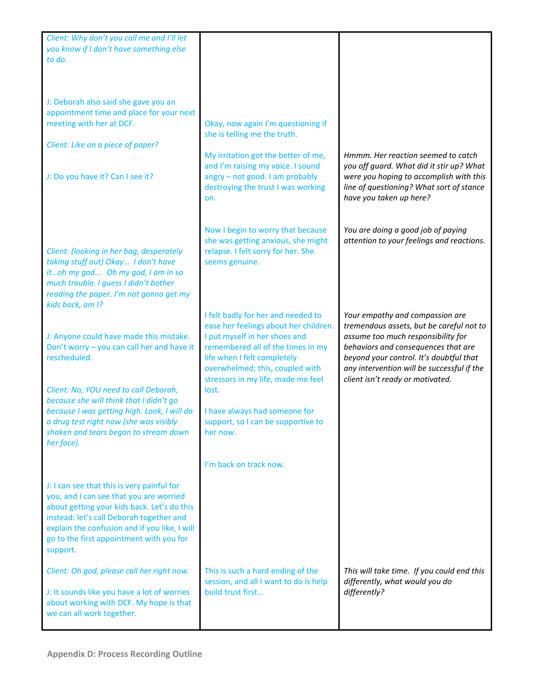| Client: Why don't you call me and I'll let                                 |                                                                                                                   |                                                                                                                                                            |
|----------------------------------------------------------------------------|-------------------------------------------------------------------------------------------------------------------|------------------------------------------------------------------------------------------------------------------------------------------------------------|
| you know if I don't have something else                                    |                                                                                                                   |                                                                                                                                                            |
| to do.                                                                     |                                                                                                                   |                                                                                                                                                            |
|                                                                            |                                                                                                                   |                                                                                                                                                            |
|                                                                            |                                                                                                                   |                                                                                                                                                            |
|                                                                            |                                                                                                                   |                                                                                                                                                            |
| J: Deborah also said she gave you an                                       |                                                                                                                   |                                                                                                                                                            |
| appointment time and place for your next                                   |                                                                                                                   |                                                                                                                                                            |
| meeting with her at DCF.                                                   | Okay, now again I'm questioning if                                                                                |                                                                                                                                                            |
|                                                                            | she is telling me the truth.                                                                                      |                                                                                                                                                            |
| Client: Like on a piece of paper?                                          |                                                                                                                   |                                                                                                                                                            |
|                                                                            | My irritation got the better of me,                                                                               | Hmmm. Her reaction seemed to catch                                                                                                                         |
| J: Do you have it? Can I see it?                                           | and I'm raising my voice. I sound<br>angry - not good. I am probably<br>destroying the trust I was working<br>on. | you off guard. What did it stir up? What<br>were you hoping to accomplish with this<br>line of questioning? What sort of stance<br>have you taken up here? |
|                                                                            |                                                                                                                   |                                                                                                                                                            |
|                                                                            | Now I begin to worry that because                                                                                 | You are doing a good job of paying                                                                                                                         |
|                                                                            | she was getting anxious, she might                                                                                | attention to your feelings and reactions.                                                                                                                  |
| Client: (looking in her bag, desperately                                   | relapse. I felt sorry for her. She                                                                                |                                                                                                                                                            |
| taking stuff out) Okay I don't have                                        | seems genuine.                                                                                                    |                                                                                                                                                            |
| itoh my god Oh my god, I am in so<br>much trouble. I guess I didn't bother |                                                                                                                   |                                                                                                                                                            |
| reading the paper. I'm not gonna get my                                    |                                                                                                                   |                                                                                                                                                            |
| kids back, am I?                                                           |                                                                                                                   |                                                                                                                                                            |
|                                                                            | I felt badly for her and needed to                                                                                | Your empathy and compassion are                                                                                                                            |
|                                                                            | ease her feelings about her children.                                                                             | tremendous assets, but be careful not to                                                                                                                   |
| J: Anyone could have made this mistake.                                    | I put myself in her shoes and                                                                                     | assume too much responsibility for                                                                                                                         |
| Don't worry - you can call her and have it                                 | remembered all of the times in my                                                                                 | behaviors and consequences that are                                                                                                                        |
| rescheduled.                                                               | life when I felt completely                                                                                       | beyond your control. It's doubtful that                                                                                                                    |
|                                                                            | overwhelmed; this, coupled with                                                                                   | any intervention will be successful if the                                                                                                                 |
|                                                                            | stressors in my life, made me feel                                                                                | client isn't ready or motivated.                                                                                                                           |
| Client: No, YOU need to call Deborah,                                      | lost.                                                                                                             |                                                                                                                                                            |
| because she will think that I didn't go                                    |                                                                                                                   |                                                                                                                                                            |
| because I was getting high. Look, I will do                                | I have always had someone for                                                                                     |                                                                                                                                                            |
| a drug test right now (she was visibly                                     | support, so I can be supportive to                                                                                |                                                                                                                                                            |
| shaken and tears began to stream down                                      | her now.                                                                                                          |                                                                                                                                                            |
| her face).                                                                 |                                                                                                                   |                                                                                                                                                            |
|                                                                            |                                                                                                                   |                                                                                                                                                            |
|                                                                            | I'm back on track now.                                                                                            |                                                                                                                                                            |
|                                                                            |                                                                                                                   |                                                                                                                                                            |
| J: I can see that this is very painful for                                 |                                                                                                                   |                                                                                                                                                            |
| you, and I can see that you are worried                                    |                                                                                                                   |                                                                                                                                                            |
| about getting your kids back. Let's do this                                |                                                                                                                   |                                                                                                                                                            |
| instead: let's call Deborah together and                                   |                                                                                                                   |                                                                                                                                                            |
| explain the confusion and if you like, I will                              |                                                                                                                   |                                                                                                                                                            |
| go to the first appointment with you for                                   |                                                                                                                   |                                                                                                                                                            |
| support.                                                                   |                                                                                                                   |                                                                                                                                                            |
|                                                                            |                                                                                                                   | This will take time. If you could end this                                                                                                                 |
| Client: Oh god, please call her right now.                                 | This is such a hard ending of the<br>session, and all I want to do is help                                        | differently, what would you do                                                                                                                             |
| J: It sounds like you have a lot of worries                                | build trust first                                                                                                 | differently?                                                                                                                                               |
| about working with DCF. My hope is that                                    |                                                                                                                   |                                                                                                                                                            |
| we can all work together.                                                  |                                                                                                                   |                                                                                                                                                            |
|                                                                            |                                                                                                                   |                                                                                                                                                            |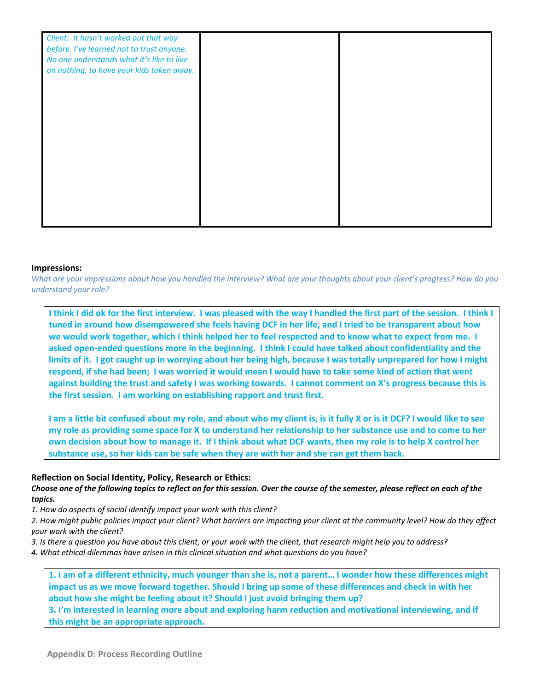| Client: It hasn't worked out that way<br>before. I've learned not to trust anyone.<br>No one understands what it's like to live<br>on nothing, to have your kids taken away. |  |
|------------------------------------------------------------------------------------------------------------------------------------------------------------------------------|--|
|                                                                                                                                                                              |  |
|                                                                                                                                                                              |  |
|                                                                                                                                                                              |  |

#### **Impressions:**

*What are your impressions about how you handled the interview? What are your thoughts about your client's progress? How do you understand your role?* 

**I think I did ok for the first interview. I was pleased with the way I handled the first part of the session. I think I tuned in around how disempowered she feels having DCF in her life, and I tried to be transparent about how we would work together, which I think helped her to feel respected and to know what to expect from me. I asked open-ended questions more in the beginning. I think I could have talked about confidentiality and the limits of it. I got caught up in worrying about her being high, because I was totally unprepared for how I might respond, if she had been; I was worried it would mean I would have to take some kind of action that went against building the trust and safety I was working towards. I cannot comment on X's progress because this is the first session. I am working on establishing rapport and trust first.**

**I am a little bit confused about my role, and about who my client is, is it fully X or is it DCF? I would like to see my role as providing some space for X to understand her relationship to her substance use and to come to her own decision about how to manage it. If I think about what DCF wants, then my role is to help X control her substance use, so her kids can be safe when they are with her and she can get them back.**

### **Reflection on Social Identity, Policy, Research or Ethics:**

### *Choose one of the following topics to reflect on for this session. Over the course of the semester, please reflect on each of the topics.*

*1. How do aspects of social identify impact your work with this client?* 

- *2. How might public policies impact your client? What barriers are impacting your client at the community level? How do they affect your work with the client?*
- *3. Is there a question you have about this client, or your work with the client, that research might help you to address?*
- *4. What ethical dilemmas have arisen in this clinical situation and what questions do you have?*

**1. I am of a different ethnicity, much younger than she is, not a parent… I wonder how these differences might impact us as we move forward together. Should I bring up some of these differences and check in with her about how she might be feeling about it? Should I just avoid bringing them up?**

**3. I'm interested in learning more about and exploring harm reduction and motivational interviewing, and if this might be an appropriate approach.**